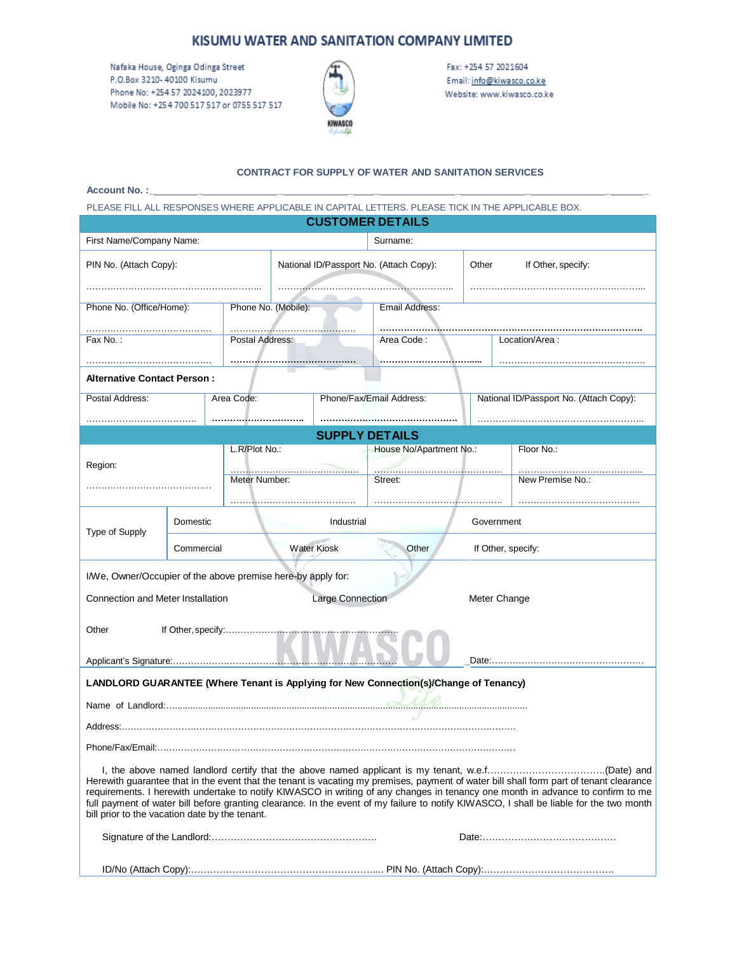# KISUMU WATER AND SANITATION COMPANY LIMITED

Nafaka House, Oginga Odinga Street P.O.Box 3210-40100 Kisumu Phone No: +254 57 2024100, 2023977 Mobile No: +254 700 517 517 or 0755 517 517



Fax: +254 57 2021604 Email: info@kiwasco.co.ke Website: www.kiwasco.co.ke

### **CONTRACT FOR SUPPLY OF WATER AND SANITATION SERVICES**

| <b>Account No.:</b> |  |  |  |  |
|---------------------|--|--|--|--|
|                     |  |  |  |  |

PLEASE FILL ALL RESPONSES WHERE APPLICABLE IN CAPITAL LETTERS. PLEASE TICK IN THE APPLICABLE BOX.

|                                                              |                                  |                 |                                         | <b>CUSTOMER DETAILS</b> |                                                                                       |                                         |                                                                                                                                                                                                                                                                                                                                                                                                                       |  |  |
|--------------------------------------------------------------|----------------------------------|-----------------|-----------------------------------------|-------------------------|---------------------------------------------------------------------------------------|-----------------------------------------|-----------------------------------------------------------------------------------------------------------------------------------------------------------------------------------------------------------------------------------------------------------------------------------------------------------------------------------------------------------------------------------------------------------------------|--|--|
| First Name/Company Name:<br>Surname:                         |                                  |                 |                                         |                         |                                                                                       |                                         |                                                                                                                                                                                                                                                                                                                                                                                                                       |  |  |
| PIN No. (Attach Copy):                                       |                                  |                 | National ID/Passport No. (Attach Copy): |                         |                                                                                       | Other                                   | If Other, specify:                                                                                                                                                                                                                                                                                                                                                                                                    |  |  |
| Phone No. (Office/Home):                                     |                                  |                 | Phone No. (Mobile):                     |                         | Email Address:                                                                        |                                         |                                                                                                                                                                                                                                                                                                                                                                                                                       |  |  |
| Fax No.:                                                     |                                  | Postal Address: |                                         | Area Code:              |                                                                                       | Location/Area:                          |                                                                                                                                                                                                                                                                                                                                                                                                                       |  |  |
| <b>Alternative Contact Person:</b>                           |                                  |                 |                                         |                         |                                                                                       |                                         |                                                                                                                                                                                                                                                                                                                                                                                                                       |  |  |
| Postal Address:                                              |                                  | Area Code:      |                                         |                         | Phone/Fax/Email Address:                                                              | National ID/Passport No. (Attach Copy): |                                                                                                                                                                                                                                                                                                                                                                                                                       |  |  |
|                                                              |                                  |                 |                                         |                         |                                                                                       |                                         |                                                                                                                                                                                                                                                                                                                                                                                                                       |  |  |
|                                                              |                                  | L.R/Plot No.:   |                                         | <b>SUPPLY DETAILS</b>   | House No/Apartment No.:                                                               |                                         | Floor No.:                                                                                                                                                                                                                                                                                                                                                                                                            |  |  |
| Region:                                                      |                                  |                 |                                         |                         | .                                                                                     |                                         |                                                                                                                                                                                                                                                                                                                                                                                                                       |  |  |
|                                                              |                                  | Meter Number:   |                                         |                         | Street:                                                                               |                                         | New Premise No.:                                                                                                                                                                                                                                                                                                                                                                                                      |  |  |
| Type of Supply                                               | Domestic                         |                 |                                         | Industrial              |                                                                                       | Government                              |                                                                                                                                                                                                                                                                                                                                                                                                                       |  |  |
|                                                              | <b>Water Kiosk</b><br>Commercial |                 |                                         |                         | Other<br>If Other, specify:                                                           |                                         |                                                                                                                                                                                                                                                                                                                                                                                                                       |  |  |
| I/We, Owner/Occupier of the above premise here-by apply for: |                                  |                 |                                         |                         |                                                                                       |                                         |                                                                                                                                                                                                                                                                                                                                                                                                                       |  |  |
| Connection and Meter Installation                            |                                  |                 |                                         | <b>Large Connection</b> |                                                                                       |                                         | Meter Change                                                                                                                                                                                                                                                                                                                                                                                                          |  |  |
| Other                                                        |                                  |                 |                                         |                         |                                                                                       |                                         |                                                                                                                                                                                                                                                                                                                                                                                                                       |  |  |
|                                                              |                                  |                 |                                         |                         |                                                                                       |                                         |                                                                                                                                                                                                                                                                                                                                                                                                                       |  |  |
|                                                              |                                  |                 |                                         |                         | LANDLORD GUARANTEE (Where Tenant is Applying for New Connection(s)/Change of Tenancy) |                                         |                                                                                                                                                                                                                                                                                                                                                                                                                       |  |  |
|                                                              |                                  |                 |                                         |                         |                                                                                       |                                         |                                                                                                                                                                                                                                                                                                                                                                                                                       |  |  |
|                                                              |                                  |                 |                                         |                         |                                                                                       |                                         |                                                                                                                                                                                                                                                                                                                                                                                                                       |  |  |
| bill prior to the vacation date by the tenant.               |                                  |                 |                                         |                         |                                                                                       |                                         | Herewith guarantee that in the event that the tenant is vacating my premises, payment of water bill shall form part of tenant clearance<br>requirements. I herewith undertake to notify KIWASCO in writing of any changes in tenancy one month in advance to confirm to me<br>full payment of water bill before granting clearance. In the event of my failure to notify KIWASCO, I shall be liable for the two month |  |  |
|                                                              |                                  |                 |                                         |                         |                                                                                       |                                         |                                                                                                                                                                                                                                                                                                                                                                                                                       |  |  |
|                                                              |                                  |                 |                                         |                         |                                                                                       |                                         |                                                                                                                                                                                                                                                                                                                                                                                                                       |  |  |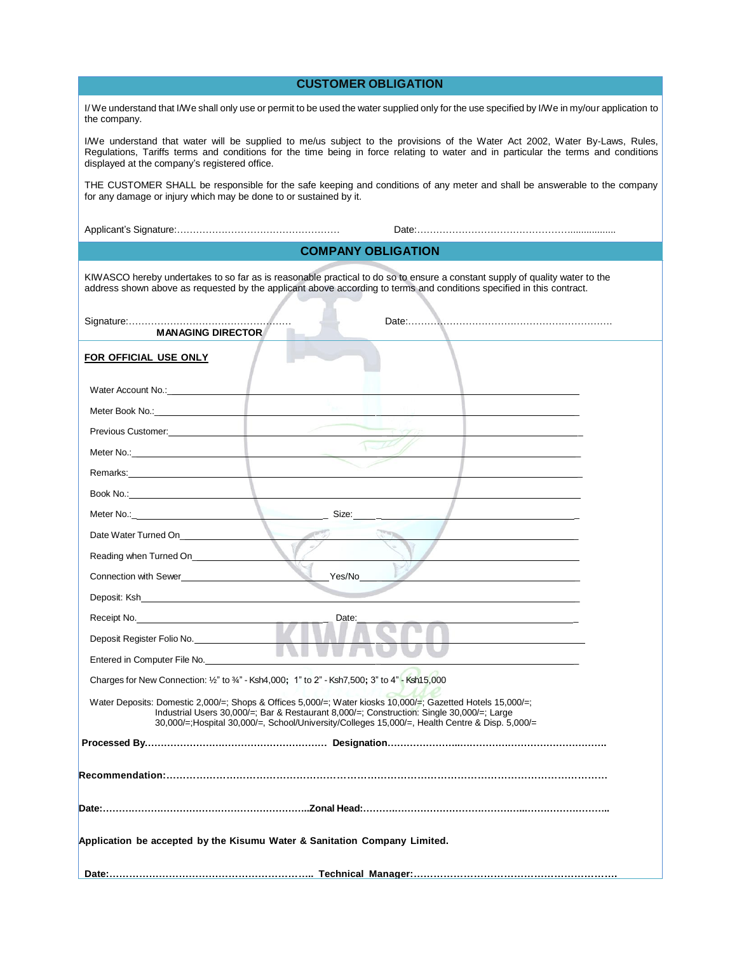| <b>CUSTOMER OBLIGATION</b>                                                                                                                                                                                                                                                                                         |  |  |  |
|--------------------------------------------------------------------------------------------------------------------------------------------------------------------------------------------------------------------------------------------------------------------------------------------------------------------|--|--|--|
| I/We understand that I/We shall only use or permit to be used the water supplied only for the use specified by I/We in my/our application to<br>the company.                                                                                                                                                       |  |  |  |
| I/We understand that water will be supplied to me/us subject to the provisions of the Water Act 2002, Water By-Laws, Rules,<br>Regulations, Tariffs terms and conditions for the time being in force relating to water and in particular the terms and conditions<br>displayed at the company's registered office. |  |  |  |
| THE CUSTOMER SHALL be responsible for the safe keeping and conditions of any meter and shall be answerable to the company<br>for any damage or injury which may be done to or sustained by it.                                                                                                                     |  |  |  |
|                                                                                                                                                                                                                                                                                                                    |  |  |  |
| <b>COMPANY OBLIGATION</b>                                                                                                                                                                                                                                                                                          |  |  |  |
| KIWASCO hereby undertakes to so far as is reasonable practical to do so to ensure a constant supply of quality water to the<br>address shown above as requested by the applicant above according to terms and conditions specified in this contract.                                                               |  |  |  |
|                                                                                                                                                                                                                                                                                                                    |  |  |  |
| <b>FOR OFFICIAL USE ONLY</b>                                                                                                                                                                                                                                                                                       |  |  |  |
| Water Account No.:_                                                                                                                                                                                                                                                                                                |  |  |  |
|                                                                                                                                                                                                                                                                                                                    |  |  |  |
|                                                                                                                                                                                                                                                                                                                    |  |  |  |
| $\sqrt{}$                                                                                                                                                                                                                                                                                                          |  |  |  |
| Remarks: <b>Example 2018</b>                                                                                                                                                                                                                                                                                       |  |  |  |
| Book No.: The contract of the contract of the contract of the contract of the contract of the contract of the contract of the contract of the contract of the contract of the contract of the contract of the contract of the                                                                                      |  |  |  |
| Size: _______                                                                                                                                                                                                                                                                                                      |  |  |  |
|                                                                                                                                                                                                                                                                                                                    |  |  |  |
| Reading when Turned On_____________                                                                                                                                                                                                                                                                                |  |  |  |
| Yes/No<br>Connection with Sewer <b>Example 2018</b>                                                                                                                                                                                                                                                                |  |  |  |
|                                                                                                                                                                                                                                                                                                                    |  |  |  |
| Date:<br>Receipt No.                                                                                                                                                                                                                                                                                               |  |  |  |
| Deposit Register Folio No.                                                                                                                                                                                                                                                                                         |  |  |  |
| Entered in Computer File No.                                                                                                                                                                                                                                                                                       |  |  |  |
| Charges for New Connection: $\frac{1}{2}$ " to $\frac{3}{4}$ " - Ksh4,000; 1" to 2" - Ksh7,500; 3" to 4" - Ksh15,000                                                                                                                                                                                               |  |  |  |
| Water Deposits: Domestic 2,000/=; Shops & Offices 5,000/=; Water kiosks 10,000/=; Gazetted Hotels 15,000/=;<br>Industrial Users 30,000/=: Bar & Restaurant 8,000/=: Construction: Single 30,000/=: Large<br>30,000/=:Hospital 30,000/=, School/University/Colleges 15,000/=, Health Centre & Disp. 5,000/=         |  |  |  |
|                                                                                                                                                                                                                                                                                                                    |  |  |  |
|                                                                                                                                                                                                                                                                                                                    |  |  |  |
|                                                                                                                                                                                                                                                                                                                    |  |  |  |
|                                                                                                                                                                                                                                                                                                                    |  |  |  |
| Application be accepted by the Kisumu Water & Sanitation Company Limited.                                                                                                                                                                                                                                          |  |  |  |
|                                                                                                                                                                                                                                                                                                                    |  |  |  |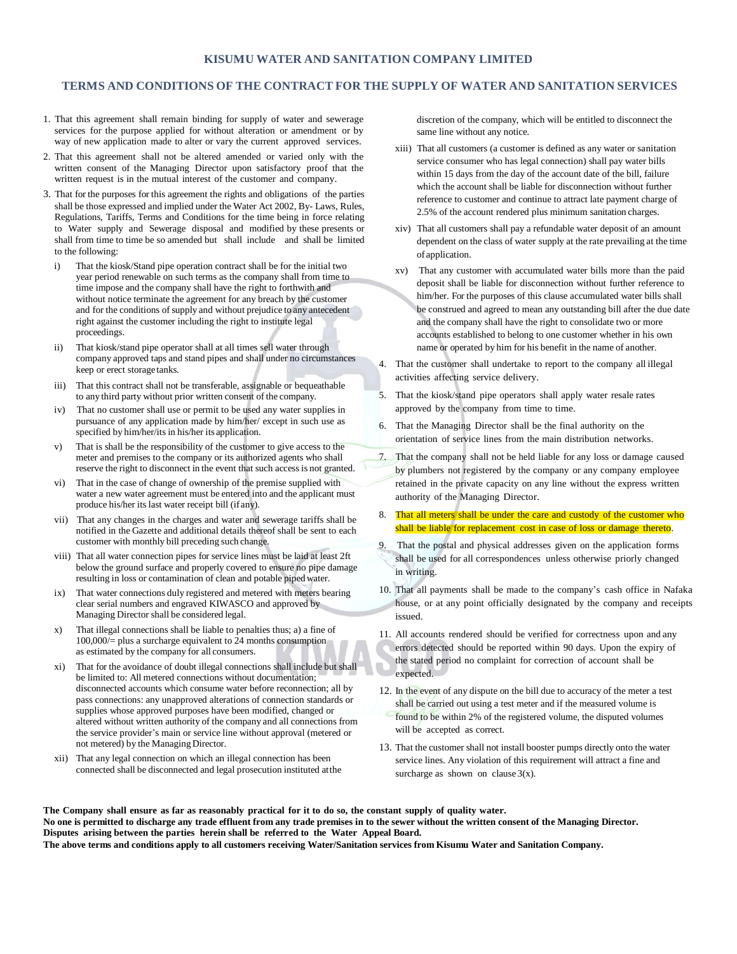### **KISUMU WATER AND SANITATION COMPANY LIMITED**

#### **TERMS AND CONDITIONS OF THE CONTRACT FOR THE SUPPLY OF WATER AND SANITATION SERVICES**

- 1. That this agreement shall remain binding for supply of water and sewerage services for the purpose applied for without alteration or amendment or by way of new application made to alter or vary the current approved services.
- 2. That this agreement shall not be altered amended or varied only with the written consent of the Managing Director upon satisfactory proof that the written request is in the mutual interest of the customer and company.
- 3. That for the purposes for this agreement the rights and obligations of the parties shall be those expressed and implied under the Water Act 2002, By- Laws, Rules, Regulations, Tariffs, Terms and Conditions for the time being in force relating to Water supply and Sewerage disposal and modified by these presents or shall from time to time be so amended but shall include and shall be limited to the following:
	- i) That the kiosk/Stand pipe operation contract shall be for the initial two year period renewable on such terms as the company shall from time to time impose and the company shall have the right to forthwith and without notice terminate the agreement for any breach by the customer and for the conditions of supply and without prejudice to any antecedent right against the customer including the right to institute legal proceedings.
	- ii) That kiosk/stand pipe operator shall at all times sell water through company approved taps and stand pipes and shall under no circumstances keep or erect storagetanks.
	- iii) That this contract shall not be transferable, assignable or bequeathable to any third party without prior written consent of the company.
	- iv) That no customer shall use or permit to be used any water supplies in pursuance of any application made by him/her/ except in such use as specified by him/her/its in his/her its application.
	- v) That is shall be the responsibility of the customer to give access to the meter and premises to the company or its authorized agents who shall reserve the right to disconnect in the event that such accessis not granted.
	- vi) That in the case of change of ownership of the premise supplied with water a new water agreement must be entered into and the applicant must produce his/her its last water receipt bill (if any).
	- vii) That any changes in the charges and water and sewerage tariffs shall be notified in the Gazette and additional details thereof shall be sent to each customer with monthly bill preceding such change.
	- viii) That all water connection pipes for service lines must be laid at least 2ft below the ground surface and properly covered to ensure no pipe damage resulting in loss or contamination of clean and potable pipedwater.
	- ix) That water connections duly registered and metered with meters bearing clear serial numbers and engraved KIWASCO and approved by Managing Director shall be considered legal.
	- x) That illegal connections shall be liable to penalties thus; a) a fine of 100,000/= plus a surcharge equivalent to 24 months consumption as estimated by the company for all consumers.
	- xi) That for the avoidance of doubt illegal connections shall include but shall be limited to: All metered connections without documentation; disconnected accounts which consume water before reconnection; all by pass connections: any unapproved alterations of connection standards or supplies whose approved purposes have been modified, changed or altered without written authority of the company and all connections from the service provider's main or service line without approval (metered or not metered) by the ManagingDirector.
	- xii) That any legal connection on which an illegal connection has been connected shall be disconnected and legal prosecution instituted atthe

discretion of the company, which will be entitled to disconnect the same line without any notice.

- xiii) That all customers (a customer is defined as any water or sanitation service consumer who has legal connection) shall pay water bills within 15 days from the day of the account date of the bill, failure which the account shall be liable for disconnection without further reference to customer and continue to attract late payment charge of 2.5% of the account rendered plus minimum sanitation charges.
- xiv) That all customers shall pay a refundable water deposit of an amount dependent on the class of water supply at the rate prevailing at the time of application.
- xv) That any customer with accumulated water bills more than the paid deposit shall be liable for disconnection without further reference to him/her. For the purposes of this clause accumulated water bills shall be construed and agreed to mean any outstanding bill after the due date and the company shall have the right to consolidate two or more accounts established to belong to one customer whether in his own name or operated by him for his benefit in the name of another.
- 4. That the customer shall undertake to report to the company all illegal activities affecting service delivery.
- 5. That the kiosk/stand pipe operators shall apply water resale rates approved by the company from time to time.
- 6. That the Managing Director shall be the final authority on the orientation of service lines from the main distribution networks.
- 7. That the company shall not be held liable for any loss or damage caused by plumbers not registered by the company or any company employee retained in the private capacity on any line without the express written authority of the Managing Director.
- 8. That all meters shall be under the care and custody of the customer who shall be liable for replacement cost in case of loss or damage thereto.
- That the postal and physical addresses given on the application forms shall be used for all correspondences unless otherwise priorly changed in writing.
- 10. That all payments shall be made to the company's cash office in Nafaka house, or at any point officially designated by the company and receipts issued.
- 11. All accounts rendered should be verified for correctness upon and any errors detected should be reported within 90 days. Upon the expiry of the stated period no complaint for correction of account shall be expected.
- 12. In the event of any dispute on the bill due to accuracy of the meter a test shall be carried out using a test meter and if the measured volume is found to be within 2% of the registered volume, the disputed volumes will be accepted as correct.
- 13. That the customer shall not install booster pumps directly onto the water service lines. Any violation of this requirement will attract a fine and surcharge as shown on clause  $3(x)$ .

The Company shall ensure as far as reasonably practical for it to do so, the constant supply of quality water. No one is permitted to discharge any trade effluent from any trade premises in to the sewer without the written consent of the Managing Director. **Disputes arising between the parties herein shall be referred to the Water Appeal Board.** The above terms and conditions apply to all customers receiving Water/Sanitation services from Kisumu Water and Sanitation Company.